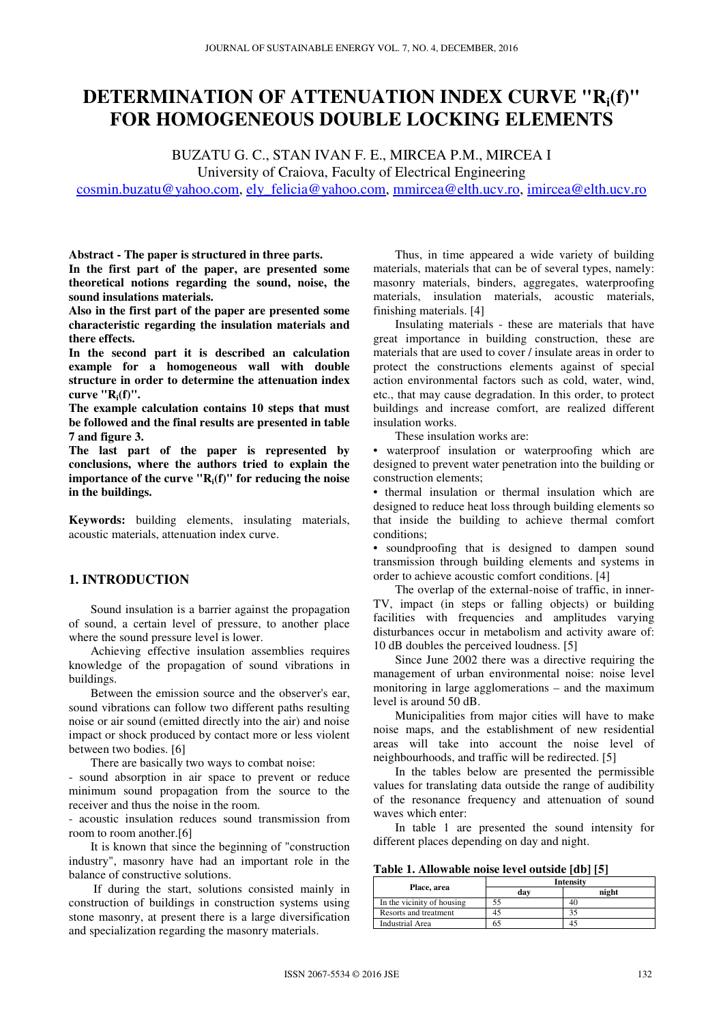# **DETERMINATION OF ATTENUATION INDEX CURVE "Ri(f)" FOR HOMOGENEOUS DOUBLE LOCKING ELEMENTS**

BUZATU G. C., STAN IVAN F. E., MIRCEA P.M., MIRCEA I University of Craiova, Faculty of Electrical Engineering

cosmin.buzatu@yahoo.com, ely\_felicia@yahoo.com, mmircea@elth.ucv.ro, imircea@elth.ucv.ro

**Abstract - The paper is structured in three parts. In the first part of the paper, are presented some** 

**theoretical notions regarding the sound, noise, the sound insulations materials.** 

**Also in the first part of the paper are presented some characteristic regarding the insulation materials and there effects.** 

**In the second part it is described an calculation example for a homogeneous wall with double structure in order to determine the attenuation index curve "Ri(f)".** 

**The example calculation contains 10 steps that must be followed and the final results are presented in table 7 and figure 3.** 

**The last part of the paper is represented by conclusions, where the authors tried to explain the importance of the curve "Ri(f)" for reducing the noise in the buildings.** 

**Keywords:** building elements, insulating materials, acoustic materials, attenuation index curve.

# **1. INTRODUCTION**

Sound insulation is a barrier against the propagation of sound, a certain level of pressure, to another place where the sound pressure level is lower.

Achieving effective insulation assemblies requires knowledge of the propagation of sound vibrations in buildings.

Between the emission source and the observer's ear, sound vibrations can follow two different paths resulting noise or air sound (emitted directly into the air) and noise impact or shock produced by contact more or less violent between two bodies. [6]

There are basically two ways to combat noise:

- sound absorption in air space to prevent or reduce minimum sound propagation from the source to the receiver and thus the noise in the room.

- acoustic insulation reduces sound transmission from room to room another.[6]

It is known that since the beginning of "construction industry", masonry have had an important role in the balance of constructive solutions.

 If during the start, solutions consisted mainly in construction of buildings in construction systems using stone masonry, at present there is a large diversification and specialization regarding the masonry materials.

Thus, in time appeared a wide variety of building materials, materials that can be of several types, namely: masonry materials, binders, aggregates, waterproofing materials, insulation materials, acoustic materials, finishing materials. [4]

Insulating materials - these are materials that have great importance in building construction, these are materials that are used to cover / insulate areas in order to protect the constructions elements against of special action environmental factors such as cold, water, wind, etc., that may cause degradation. In this order, to protect buildings and increase comfort, are realized different insulation works.

These insulation works are:

• waterproof insulation or waterproofing which are designed to prevent water penetration into the building or construction elements;

• thermal insulation or thermal insulation which are designed to reduce heat loss through building elements so that inside the building to achieve thermal comfort conditions;

• soundproofing that is designed to dampen sound transmission through building elements and systems in order to achieve acoustic comfort conditions. [4]

The overlap of the external-noise of traffic, in inner-TV, impact (in steps or falling objects) or building facilities with frequencies and amplitudes varying disturbances occur in metabolism and activity aware of: 10 dB doubles the perceived loudness. [5]

Since June 2002 there was a directive requiring the management of urban environmental noise: noise level monitoring in large agglomerations – and the maximum level is around 50 dB.

Municipalities from major cities will have to make noise maps, and the establishment of new residential areas will take into account the noise level of neighbourhoods, and traffic will be redirected. [5]

In the tables below are presented the permissible values for translating data outside the range of audibility of the resonance frequency and attenuation of sound waves which enter:

In table 1 are presented the sound intensity for different places depending on day and night.

#### **Table 1. Allowable noise level outside [db] [5]**

|                            | <b>Intensity</b> |       |  |  |  |  |  |  |  |
|----------------------------|------------------|-------|--|--|--|--|--|--|--|
| Place, area                | dav              | night |  |  |  |  |  |  |  |
| In the vicinity of housing |                  |       |  |  |  |  |  |  |  |
| Resorts and treatment      |                  |       |  |  |  |  |  |  |  |
| <b>Industrial Area</b>     | რა               |       |  |  |  |  |  |  |  |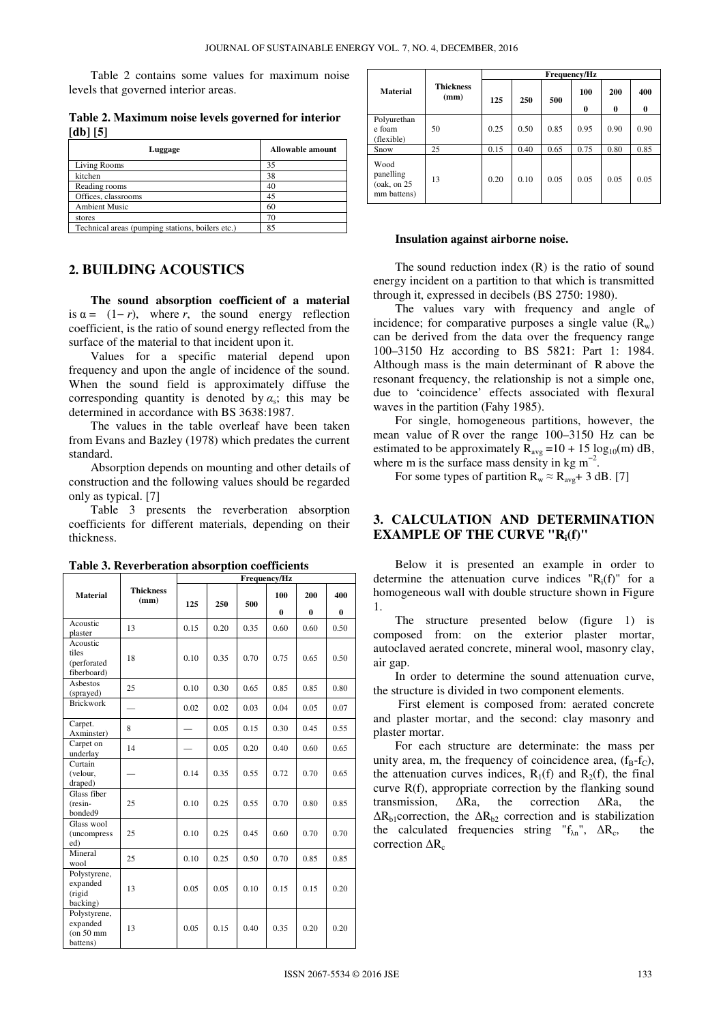Table 2 contains some values for maximum noise levels that governed interior areas.

|                                | Table 2. Maximum noise levels governed for interior |  |  |  |
|--------------------------------|-----------------------------------------------------|--|--|--|
| $\left[$ db] $\left[ 5\right]$ |                                                     |  |  |  |

| Luggage                                          | Allowable amount |
|--------------------------------------------------|------------------|
| Living Rooms                                     | 35               |
| kitchen                                          | 38               |
| Reading rooms                                    | 40               |
| Offices, classrooms                              | 45               |
| <b>Ambient Music</b>                             | 60               |
| stores                                           | 70               |
| Technical areas (pumping stations, boilers etc.) | 85               |

# **2. BUILDING ACOUSTICS**

**The sound absorption coefficient of a material** is  $\alpha = (1 - r)$ , where *r*, the sound energy reflection coefficient, is the ratio of sound energy reflected from the surface of the material to that incident upon it.

Values for a specific material depend upon frequency and upon the angle of incidence of the sound. When the sound field is approximately diffuse the corresponding quantity is denoted by  $\alpha_s$ ; this may be determined in accordance with BS 3638:1987.

The values in the table overleaf have been taken from Evans and Bazley (1978) which predates the current standard.

Absorption depends on mounting and other details of construction and the following values should be regarded only as typical. [7]

Table 3 presents the reverberation absorption coefficients for different materials, depending on their thickness.

**Frequency/Hz** 

|                                                      |                          |      |      | - - - 4 |                 |                 |                 |  |  |  |
|------------------------------------------------------|--------------------------|------|------|---------|-----------------|-----------------|-----------------|--|--|--|
| <b>Material</b>                                      | <b>Thickness</b><br>(mm) | 125  | 250  | 500     | 100<br>$\bf{0}$ | 200<br>$\bf{0}$ | 400<br>$\bf{0}$ |  |  |  |
| Acoustic<br>plaster                                  | 13                       | 0.15 | 0.20 | 0.35    | 0.60            | 0.60            | 0.50            |  |  |  |
| Acoustic<br>tiles<br>(perforated<br>fiberboard)      | 18                       | 0.10 | 0.35 | 0.70    | 0.75            | 0.65            | 0.50            |  |  |  |
| Asbestos<br>(sprayed)                                | 25                       | 0.10 | 0.30 | 0.65    | 0.85            | 0.85            | 0.80            |  |  |  |
| <b>Brickwork</b>                                     |                          | 0.02 | 0.02 | 0.03    | 0.04            | 0.05            | 0.07            |  |  |  |
| Carpet.<br>Axminster)                                | 8                        |      | 0.05 | 0.15    | 0.30            | 0.45            | 0.55            |  |  |  |
| Carpet on<br>underlay                                | 14                       |      | 0.05 | 0.20    | 0.40            | 0.60            | 0.65            |  |  |  |
| Curtain<br>(velour,<br>draped)                       |                          | 0.14 | 0.35 | 0.55    | 0.72            | 0.70            | 0.65            |  |  |  |
| Glass fiber<br>(resin-<br>bonded9                    | 25                       | 0.10 | 0.25 | 0.55    | 0.70            | 0.80            | 0.85            |  |  |  |
| Glass wool<br>(uncompress<br>ed)                     | 25                       | 0.10 | 0.25 | 0.45    | 0.60            | 0.70            | 0.70            |  |  |  |
| Mineral<br>wool                                      | 25                       | 0.10 | 0.25 | 0.50    | 0.70            | 0.85            | 0.85            |  |  |  |
| Polystyrene,<br>expanded<br>(rigid<br>backing)       | 13                       | 0.05 | 0.05 | 0.10    | 0.15            | 0.15            | 0.20            |  |  |  |
| Polystyrene,<br>expanded<br>$($ on 50 mm<br>battens) | 13                       | 0.05 | 0.15 | 0.40    | 0.35            | 0.20            | 0.20            |  |  |  |

**Table 3. Reverberation absorption coefficients**

|                                                   |                          | Frequency/Hz |      |      |          |                 |                 |  |  |  |  |  |
|---------------------------------------------------|--------------------------|--------------|------|------|----------|-----------------|-----------------|--|--|--|--|--|
| <b>Material</b>                                   | <b>Thickness</b><br>(mm) | 125<br>250   |      | 500  | 100<br>0 | 200<br>$\bf{0}$ | 400<br>$\bf{0}$ |  |  |  |  |  |
| Polyurethan<br>e foam<br>(flexible)               | 50                       | 0.25         | 0.50 | 0.85 | 0.95     | 0.90            | 0.90            |  |  |  |  |  |
| Snow                                              | 25                       | 0.15         | 0.40 | 0.65 | 0.75     | 0.80            | 0.85            |  |  |  |  |  |
| Wood<br>panelling<br>(oak, on $25$<br>mm battens) | 13                       | 0.20         | 0.10 | 0.05 | 0.05     | 0.05            | 0.05            |  |  |  |  |  |

#### **Insulation against airborne noise.**

The sound reduction index  $(R)$  is the ratio of sound energy incident on a partition to that which is transmitted through it, expressed in decibels (BS 2750: 1980).

The values vary with frequency and angle of incidence; for comparative purposes a single value  $(R_w)$ can be derived from the data over the frequency range 100–3150 Hz according to BS 5821: Part 1: 1984. Although mass is the main determinant of R above the resonant frequency, the relationship is not a simple one, due to 'coincidence' effects associated with flexural waves in the partition (Fahy 1985).

For single, homogeneous partitions, however, the mean value of R over the range 100–3150 Hz can be estimated to be approximately  $R_{avg} = 10 + 15 \log_{10}(m) dB$ , where m is the surface mass density in kg  $m^{-2}$ .

For some types of partition  $R_w \approx R_{avg} + 3$  dB. [7]

# **3. CALCULATION AND DETERMINATION EXAMPLE OF THE CURVE "Ri(f)"**

Below it is presented an example in order to determine the attenuation curve indices " $R_i(f)$ " for a homogeneous wall with double structure shown in Figure 1.

The structure presented below (figure 1) is composed from: on the exterior plaster mortar, autoclaved aerated concrete, mineral wool, masonry clay, air gap.

In order to determine the sound attenuation curve, the structure is divided in two component elements.

 First element is composed from: aerated concrete and plaster mortar, and the second: clay masonry and plaster mortar.

For each structure are determinate: the mass per unity area, m, the frequency of coincidence area,  $(f_B - f_C)$ , the attenuation curves indices,  $R_1(f)$  and  $R_2(f)$ , the final curve R(f), appropriate correction by the flanking sound transmission, ∆Ra, the correction ∆Ra, the  $\Delta R_{b1}$ correction, the  $\Delta R_{b2}$  correction and is stabilization the calculated frequencies string " $f_{\lambda n}$ ",  $\Delta R_c$ , , the correction  $\Delta R_c$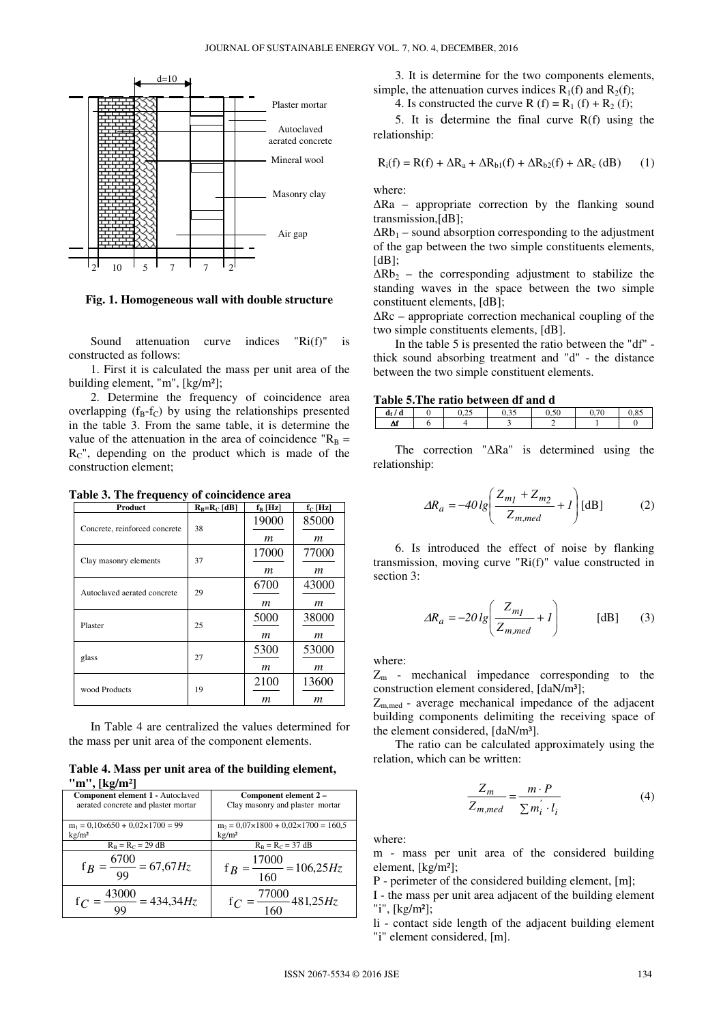

**Fig. 1. Homogeneous wall with double structure** 

Sound attenuation curve indices "Ri(f)" is constructed as follows:

1. First it is calculated the mass per unit area of the building element, "m", [kg/m²];

2. Determine the frequency of coincidence area overlapping  $(f_B - f_C)$  by using the relationships presented in the table 3. From the same table, it is determine the value of the attenuation in the area of coincidence " $R_B$  =  $R<sub>C</sub>$ ", depending on the product which is made of the construction element;

**Table 3. The frequency of coincidence area** 

| Product                       | $R_B=R_C[dB]$ | $f_B$ [Hz] | $f_C$ [Hz] |
|-------------------------------|---------------|------------|------------|
| Concrete, reinforced concrete | 38            | 19000      | 85000      |
|                               |               | m          | m          |
| Clay masonry elements         | 37            | 17000      | 77000      |
|                               |               | m          | m          |
| Autoclaved aerated concrete   | 29            | 6700       | 43000      |
|                               |               | m          | m          |
| Plaster                       | 25            | 5000       | 38000      |
|                               |               | m          | m          |
| glass                         | 27            | 5300       | 53000      |
|                               |               | m          | m          |
| wood Products                 | 19            | 2100       | 13600      |
|                               |               | m          | m          |

In Table 4 are centralized the values determined for the mass per unit area of the component elements.

### **Table 4. Mass per unit area of the building element, "m", [kg/m²]**

| Component element 1 - Autoclaved<br>aerated concrete and plaster mortar | Component element 2 -<br>Clay masonry and plaster mortar |
|-------------------------------------------------------------------------|----------------------------------------------------------|
| $m_1 = 0.10 \times 650 + 0.02 \times 1700 = 99$                         | $m_2 = 0.07 \times 1800 + 0.02 \times 1700 = 160.5$      |
| kg/m <sup>2</sup>                                                       | $\text{kg}/\text{m}^2$                                   |
| $R_B = R_C = 29 dB$                                                     | $R_B = R_C = 37 dB$                                      |
| $\frac{6700}{99} = 67,67 Hz$                                            | $\frac{17000}{2}$ = 106,25 <i>Hz</i><br>$f_R$<br>160     |
| 43000<br>$= 434,34Hz$                                                   | 77000<br>481,25 <i>Hz</i>                                |

3. It is determine for the two components elements, simple, the attenuation curves indices  $R_1(f)$  and  $R_2(f)$ ;

4. Is constructed the curve R (f) =  $R_1$  (f) +  $R_2$  (f);

5. It is determine the final curve R(f) using the relationship:

$$
R_i(f) = R(f) + \Delta R_a + \Delta R_{b1}(f) + \Delta R_{b2}(f) + \Delta R_c (dB)
$$
 (1)

where:

∆Ra – appropriate correction by the flanking sound transmission,[dB];

 $\Delta Rb_1$  – sound absorption corresponding to the adjustment of the gap between the two simple constituents elements,  $[dB]$ ;

 $\Delta Rb_2$  – the corresponding adjustment to stabilize the standing waves in the space between the two simple constituent elements, [dB];

∆Rc – appropriate correction mechanical coupling of the two simple constituents elements, [dB].

In the table 5 is presented the ratio between the "df" thick sound absorbing treatment and "d" - the distance between the two simple constituent elements.

#### **Table 5.The ratio between df and d**

| . . | $\cdot$ $\cdot$<br>d<br>u | - -<br>$\mathcal{L}$ | $\sim$ $\sim$ | $\sim$ | ີ | $\sim$ $\sim$<br>,o. |
|-----|---------------------------|----------------------|---------------|--------|---|----------------------|
| л   |                           |                      |               |        |   |                      |

The correction "∆Ra" is determined using the relationship:

$$
\Delta R_a = -40 \lg \left( \frac{Z_{m_1} + Z_{m_2}}{Z_{m,med}} + I \right) \text{[dB]} \tag{2}
$$

6. Is introduced the effect of noise by flanking transmission, moving curve "Ri(f)" value constructed in section 3:

$$
\Delta R_a = -20 \lg \left( \frac{Z_{mj}}{Z_{m,med}} + I \right) \quad \text{[dB]} \quad (3)
$$

where:

 $Z<sub>m</sub>$  - mechanical impedance corresponding to the construction element considered, [daN/m<sup>3</sup>];

 $Z_{m,med}$  - average mechanical impedance of the adjacent building components delimiting the receiving space of the element considered, [daN/m<sup>3</sup>].

The ratio can be calculated approximately using the relation, which can be written:

$$
\frac{Z_m}{Z_{m,med}} = \frac{m \cdot P}{\sum m_i^{'} \cdot l_i}
$$
 (4)

where:

m - mass per unit area of the considered building element, [kg/m²];

P - perimeter of the considered building element, [m];

I - the mass per unit area adjacent of the building element "i", [kg/m²];

li - contact side length of the adjacent building element "i" element considered, [m].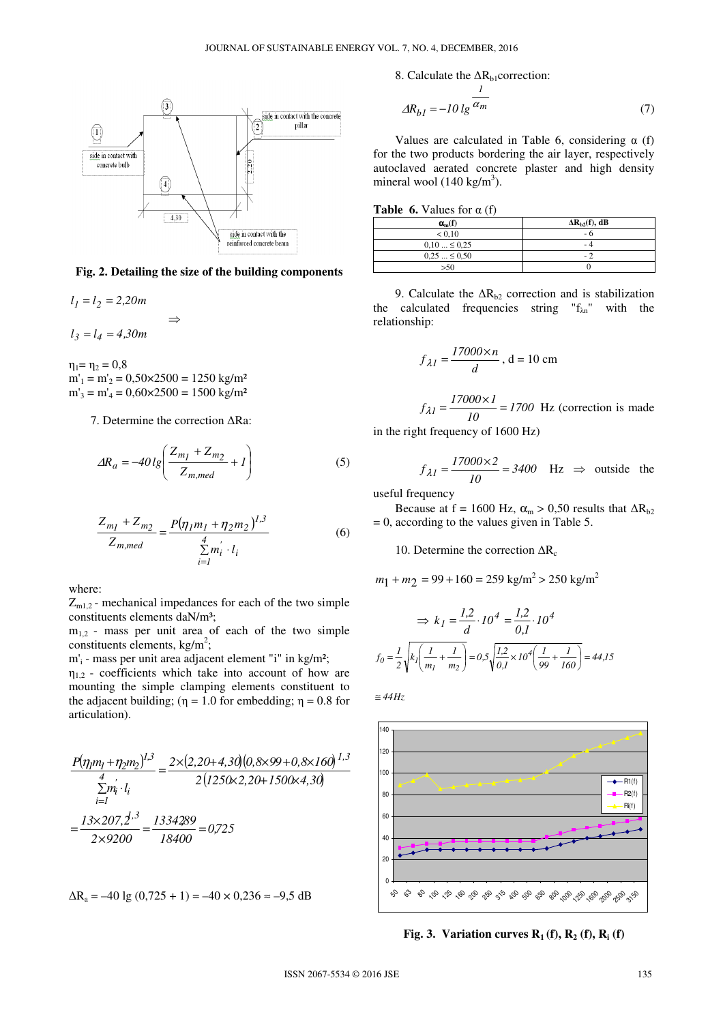

**Fig. 2. Detailing the size of the building components** 

 $l_1 = l_2 = 2,20m$  ⇒  $l_3 = l_4 = 4,30m$ 

 $\eta_1 = \eta_2 = 0.8$  $m'_1 = m'_2 = 0,50 \times 2500 = 1250$  kg/m<sup>2</sup>  $m'_3 = m'_4 = 0,60 \times 2500 = 1500$  kg/m<sup>2</sup>

7. Determine the correction ∆Ra:

$$
\Delta R_a = -40 \lg \left( \frac{Z_{m_1} + Z_{m_2}}{Z_{m,med}} + 1 \right) \tag{5}
$$

$$
\frac{Z_{m_1} + Z_{m_2}}{Z_{m,med}} = \frac{P(\eta_1 m_1 + \eta_2 m_2)^{l,3}}{\sum_{i=1}^{4} m_i^{'} \cdot l_i}
$$
(6)

where:

 $Z_{m1,2}$  - mechanical impedances for each of the two simple constituents elements daN/m<sup>3</sup>;

 $m<sub>1,2</sub>$  - mass per unit area of each of the two simple constituents elements,  $kg/m^2$ ;

m'<sup>i</sup> - mass per unit area adjacent element "i" in kg/m²;

 $\eta_{1,2}$  - coefficients which take into account of how are mounting the simple clamping elements constituent to the adjacent building; ( $\eta = 1.0$  for embedding;  $\eta = 0.8$  for articulation).

$$
\frac{P(\eta_1 m_1 + \eta_2 m_2)^{1,3}}{\sum_{i=1}^4 \eta_i \cdot l_i} = \frac{2 \times (2, 20 + 4, 30)(0, 8 \times 99 + 0, 8 \times 160)^{1,3}}{2(1250 \times 2, 20 + 1500 \times 4, 30)}
$$

$$
= \frac{13 \times 207, 2^{1,3}}{2 \times 9200} = \frac{1334289}{18400} = 0,725
$$

$$
\Delta R_a = -40 \lg (0.725 + 1) = -40 \times 0.236 \approx -9.5 \text{ dB}
$$

8. Calculate the  $\Delta R_{b1}$ correction:

$$
\Delta R_{b1} = -10 \lg \frac{1}{\alpha_m} \tag{7}
$$

Values are calculated in Table 6, considering  $\alpha$  (f) for the two products bordering the air layer, respectively autoclaved aerated concrete plaster and high density mineral wool  $(140 \text{ kg/m}^3)$ .

|  |  | <b>Table 6.</b> Values for $\alpha$ (f) |  |  |  |
|--|--|-----------------------------------------|--|--|--|
|--|--|-----------------------------------------|--|--|--|

| $\alpha_{m}(f)$ | $\Delta R_{h2}(f)$ , dB |
|-----------------|-------------------------|
| < 0.10          | - 0                     |
| $0.10 \le 0.25$ | . .                     |
| $0.25 \le 0.50$ | $-$                     |
| >50             |                         |

9. Calculate the  $\Delta R_{b2}$  correction and is stabilization the calculated frequencies string " $f_{\lambda n}$ " with the relationship:

$$
f_{\lambda I} = \frac{17000 \times n}{d}, d = 10 \text{ cm}
$$

 $\frac{1}{10}$  = 1700  $f_{\lambda I} = \frac{17000 \times I}{10} = 1700$  Hz (correction is made

in the right frequency of 1600 Hz)

$$
f_{\lambda I} = \frac{17000 \times 2}{10} = 3400
$$
 Hz  $\Rightarrow$  outside the

useful frequency

Because at f = 1600 Hz,  $\alpha_m > 0,50$  results that  $\Delta R_{b2}$ = 0, according to the values given in Table 5.

10. Determine the correction  $\Delta R_c$ 

$$
m_1 + m_2 = 99 + 160 = 259 \text{ kg/m}^2 > 250 \text{ kg/m}^2
$$

$$
\Rightarrow k_1 = \frac{1,2}{d} \cdot 10^4 = \frac{1,2}{0,1} \cdot 10^4
$$
  

$$
f_0 = \frac{1}{2} \sqrt{k_1 \left(\frac{1}{m_1} + \frac{1}{m_2}\right)} = 0.5 \sqrt{\frac{1,2}{0,1} \times 10^4 \left(\frac{1}{99} + \frac{1}{160}\right)} = 44.15
$$

*Hz44* ≅



**Fig. 3. Variation curves**  $\mathbf{R}_1$  **(f),**  $\mathbf{R}_2$  **(f),**  $\mathbf{R}_i$  **(f)**